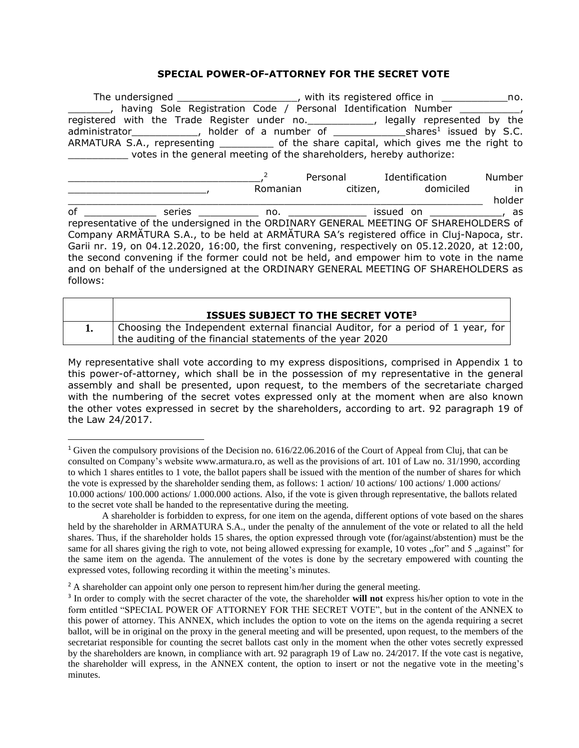# **SPECIAL POWER-OF-ATTORNEY FOR THE SECRET VOTE**

| The undersigned ________________________, with its registered office in ______________no.      |  |  |                                |        |
|------------------------------------------------------------------------------------------------|--|--|--------------------------------|--------|
| having Sole Registration Code / Personal Identification Number _________________               |  |  |                                |        |
| registered with the Trade Register under no. _____________, legally represented by the         |  |  |                                |        |
|                                                                                                |  |  |                                |        |
| ARMATURA S.A., representing ____________ of the share capital, which gives me the right to     |  |  |                                |        |
| votes in the general meeting of the shareholders, hereby authorize:                            |  |  |                                |        |
|                                                                                                |  |  |                                |        |
|                                                                                                |  |  | Personal Identification        | Number |
|                                                                                                |  |  | Romanian citizen, domiciled in |        |
|                                                                                                |  |  |                                | holder |
| of ________________ series ______________ no. _________________ issued on _______________, as  |  |  |                                |        |
| representative of the undersigned in the ORDINARY GENERAL MEETING OF SHAREHOLDERS of           |  |  |                                |        |
| Company ARMATURA S.A., to be held at ARMATURA SA's registered office in Cluj-Napoca, str.      |  |  |                                |        |
| Garii nr. 19, on 04.12.2020, 16:00, the first convening, respectively on 05.12.2020, at 12:00, |  |  |                                |        |
| the second convening if the former could not be held, and empower him to vote in the name      |  |  |                                |        |
| and on behalf of the undersigned at the ORDINARY GENERAL MEETING OF SHAREHOLDERS as            |  |  |                                |        |

| <b>ISSUES SUBJECT TO THE SECRET VOTE<sup>3</sup></b>                             |
|----------------------------------------------------------------------------------|
| Choosing the Independent external financial Auditor, for a period of 1 year, for |
| the auditing of the financial statements of the year 2020                        |

follows:

My representative shall vote according to my express dispositions, comprised in Appendix 1 to this power-of-attorney, which shall be in the possession of my representative in the general assembly and shall be presented, upon request, to the members of the secretariate charged with the numbering of the secret votes expressed only at the moment when are also known the other votes expressed in secret by the shareholders, according to art. 92 paragraph 19 of the Law 24/2017.

<sup>1</sup> Given the compulsory provisions of the Decision no. 616/22.06.2016 of the Court of Appeal from Cluj, that can be consulted on Company's website [www.armatura.ro,](http://www.armatura.ro/) as well as the provisions of art. 101 of Law no. 31/1990, according to which 1 shares entitles to 1 vote, the ballot papers shall be issued with the mention of the number of shares for which the vote is expressed by the shareholder sending them, as follows: 1 action/ 10 actions/ 100 actions/ 1.000 actions/ 10.000 actions/ 100.000 actions/ 1.000.000 actions. Also, if the vote is given through representative, the ballots related to the secret vote shall be handed to the representative during the meeting.

A shareholder is forbidden to express, for one item on the agenda, different options of vote based on the shares held by the shareholder in ARMATURA S.A., under the penalty of the annulement of the vote or related to all the held shares. Thus, if the shareholder holds 15 shares, the option expressed through vote (for/against/abstention) must be the same for all shares giving the righ to vote, not being allowed expressing for example, 10 votes "for" and 5 "against" for the same item on the agenda. The annulement of the votes is done by the secretary empowered with counting the expressed votes, following recording it within the meeting's minutes.

<sup>&</sup>lt;sup>2</sup> A shareholder can appoint only one person to represent him/her during the general meeting.

<sup>3</sup> In order to comply with the secret character of the vote, the shareholder **will not** express his/her option to vote in the form entitled "SPECIAL POWER OF ATTORNEY FOR THE SECRET VOTE", but in the content of the ANNEX to this power of attorney. This ANNEX, which includes the option to vote on the items on the agenda requiring a secret ballot, will be in original on the proxy in the general meeting and will be presented, upon request, to the members of the secretariat responsible for counting the secret ballots cast only in the moment when the other votes secretly expressed by the shareholders are known, in compliance with art. 92 paragraph 19 of Law no. 24/2017. If the vote cast is negative, the shareholder will express, in the ANNEX content, the option to insert or not the negative vote in the meeting's minutes.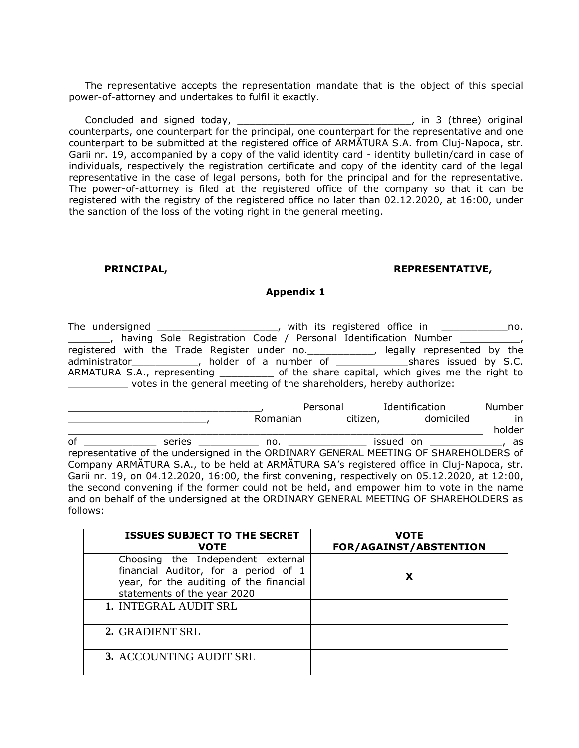The representative accepts the representation mandate that is the object of this special power-of-attorney and undertakes to fulfil it exactly.

Concluded and signed today, \_\_\_\_\_\_\_\_\_\_\_\_\_\_\_\_\_\_\_\_\_\_\_\_\_\_\_\_\_\_\_, in 3 (three) original counterparts, one counterpart for the principal, one counterpart for the representative and one counterpart to be submitted at the registered office of ARMĂTURA S.A. from Cluj-Napoca, str. Garii nr. 19, accompanied by a copy of the valid identity card - identity bulletin/card in case of individuals, respectively the registration certificate and copy of the identity card of the legal representative in the case of legal persons, both for the principal and for the representative. The power-of-attorney is filed at the registered office of the company so that it can be registered with the registry of the registered office no later than 02.12.2020, at 16:00, under the sanction of the loss of the voting right in the general meeting.

### **PRINCIPAL, REPRESENTATIVE,**

### **Appendix 1**

| The undersigned |                                                                                            | with its registered office in |                            | no. |
|-----------------|--------------------------------------------------------------------------------------------|-------------------------------|----------------------------|-----|
|                 | having Sole Registration Code / Personal Identification Number                             |                               |                            |     |
|                 | registered with the Trade Register under no.                                               |                               | legally represented by the |     |
|                 | administrator______________, holder of a number of __________________shares issued by S.C. |                               |                            |     |
|                 | ARMATURA S.A., representing ____________ of the share capital, which gives me the right to |                               |                            |     |
|                 | votes in the general meeting of the shareholders, hereby authorize:                        |                               |                            |     |

|                                                                                      |                                                                                                |            | Personal | Identification                                                                                                  | Number |
|--------------------------------------------------------------------------------------|------------------------------------------------------------------------------------------------|------------|----------|-----------------------------------------------------------------------------------------------------------------|--------|
|                                                                                      |                                                                                                | Romanian   | citizen, | domiciled                                                                                                       | in     |
|                                                                                      |                                                                                                |            |          |                                                                                                                 | holder |
| of                                                                                   |                                                                                                | series no. |          | issued on the case of the case of the case of the case of the case of the case of the case of the case of the c |        |
| representative of the undersigned in the ORDINARY GENERAL MEETING OF SHAREHOLDERS of |                                                                                                |            |          |                                                                                                                 |        |
|                                                                                      | Company ARMATURA S.A., to be held at ARMATURA SA's registered office in Cluj-Napoca, str.      |            |          |                                                                                                                 |        |
|                                                                                      | Garii nr. 19, on 04.12.2020, 16:00, the first convening, respectively on 05.12.2020, at 12:00, |            |          |                                                                                                                 |        |
|                                                                                      | the second convening if the former could not be held, and empower him to vote in the name      |            |          |                                                                                                                 |        |
|                                                                                      | and on behalf of the undersigned at the ORDINARY GENERAL MEETING OF SHAREHOLDERS as            |            |          |                                                                                                                 |        |
| follows:                                                                             |                                                                                                |            |          |                                                                                                                 |        |

| <b>ISSUES SUBJECT TO THE SECRET</b><br><b>VOTE</b>                                                                                                  | <b>VOTE</b><br>FOR/AGAINST/ABSTENTION |
|-----------------------------------------------------------------------------------------------------------------------------------------------------|---------------------------------------|
| Choosing the Independent external<br>financial Auditor, for a period of 1<br>year, for the auditing of the financial<br>statements of the year 2020 |                                       |
| 1. INTEGRAL AUDIT SRL                                                                                                                               |                                       |
| 2. GRADIENT SRL                                                                                                                                     |                                       |
| 3. ACCOUNTING AUDIT SRL                                                                                                                             |                                       |